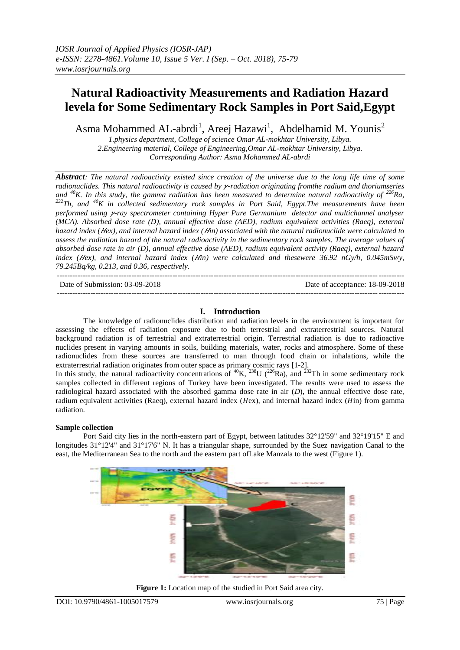# **Natural Radioactivity Measurements and Radiation Hazard levela for Some Sedimentary Rock Samples in Port Said,Egypt**

Asma Mohammed AL-abrdi<sup>1</sup>, Areej Hazawi<sup>1</sup>, Abdelhamid M. Younis<sup>2</sup>

*1.physics department, College of science Omar AL-mokhtar University, Libya. 2.Engineering material, College of Engineering,Omar AL-mokhtar University, Libya. Corresponding Author: Asma Mohammed AL-abrdi*

*Abstract: The natural radioactivity existed since creation of the universe due to the long life time of some radionuclides. This natural radioactivity is caused by -radiation originating fromthe radium and thoriumseries and <sup>40</sup>K. In this study, the gamma radiation has been measured to determine natural radioactivity of <sup>226</sup>Ra, <sup>232</sup>Th, and <sup>40</sup>K in collected sedimentary rock samples in Port Said, Egypt.The measurements have been performed using -ray spectrometer containing Hyper Pure Germanium detector and multichannel analyser (MCA). Absorbed dose rate (D), annual effective dose (AED), radium equivalent activities (Raeq), external hazard index (ex), and internal hazard index (in) associated with the natural radionuclide were calculated to assess the radiation hazard of the natural radioactivity in the sedimentary rock samples. The average values of absorbed dose rate in air (D), annual effective dose (AED), radium equivalent activity (Raeq), external hazard index (Hex), and internal hazard index (Hin) were calculated and thesewere 36.92 nGy/h, 0.045mSv/y, 79.245Bq/kg, 0.213, and 0.36, respectively.* ---------------------------------------------------------------------------------------------------------------------------------------

Date of Submission: 03-09-2018 Date of acceptance: 18-09-2018

---------------------------------------------------------------------------------------------------------------------------------------

# **I. Introduction**

The knowledge of radionuclides distribution and radiation levels in the environment is important for assessing the effects of radiation exposure due to both terrestrial and extraterrestrial sources. Natural background radiation is of terrestrial and extraterrestrial origin. Terrestrial radiation is due to radioactive nuclides present in varying amounts in soils, building materials, water, rocks and atmosphere. Some of these radionuclides from these sources are transferred to man through food chain or inhalations, while the extraterrestrial radiation originates from outer space as primary cosmic rays [1-2].

In this study, the natural radioactivity concentrations of  ${}^{40}K$ ,  ${}^{238}U$  ( ${}^{226}Ra$ ), and  ${}^{232}Th$  in some sedimentary rock samples collected in different regions of Turkey have been investigated. The results were used to assess the radiological hazard associated with the absorbed gamma dose rate in air (*D*), the annual effective dose rate, radium equivalent activities (Raeq), external hazard index ( $H$ ex), and internal hazard index ( $H$ in) from gamma radiation.

#### **Sample collection**

Port Said city lies in the north-eastern part of Egypt, between latitudes 32°12'59" and 32°19'15" E and longitudes 31°12'4" and 31°17'6" N. It has a triangular shape, surrounded by the Suez navigation Canal to the east, the Mediterranean Sea to the north and the eastern part ofLake Manzala to the west (Figure 1).



**Figure 1:** Location map of the studied in Port Said area city.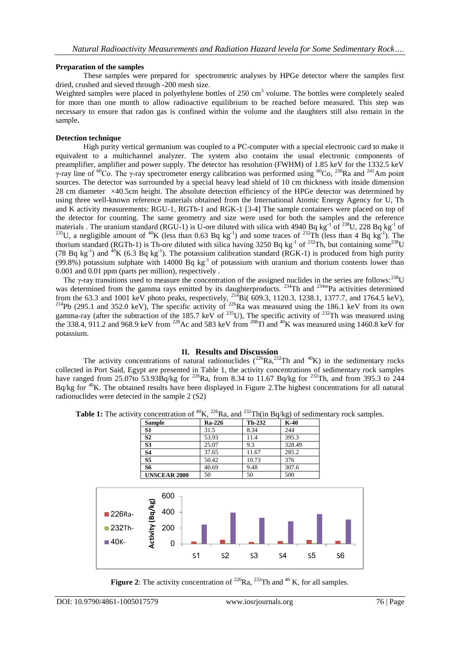#### **Preparation of the samples**

These samples were prepared for spectrometric analyses by HPGe detector where the samples first dried, crushed and sieved through -200 mesh size.

Weighted samples were placed in polyethylene bottles of 250 cm<sup>3</sup> volume. The bottles were completely sealed for more than one month to allow radioactive equilibrium to be reached before measured. This step was necessary to ensure that radon gas is confined within the volume and the daughters still also remain in the sample**.**

#### **Detection technique**

High purity vertical germanium was coupled to a PC-computer with a special electronic card to make it equivalent to a multichannel analyzer. The system also contains the usual electronic components of preamplifier, amplifier and power supply. The detector has resolution (FWHM) of 1.85 keV for the 1332.5 keV γ-ray line of <sup>60</sup>Co. The γ-ray spectrometer energy calibration was performed using <sup>60</sup>Co, <sup>226</sup>Ra and <sup>241</sup>Am point sources. The detector was surrounded by a special heavy lead shield of 10 cm thickness with inside dimension 28 cm diameter ×40.5cm height. The absolute detection efficiency of the HPGe detector was determined by using three well-known reference materials obtained from the International Atomic Energy Agency for U, Th and K activity measurements: RGU-1, RGTh-1 and RGK-1 [3-4] The sample containers were placed on top of the detector for counting. The same geometry and size were used for both the samples and the reference materials. The uranium standard (RGU-1) is U-ore diluted with silica with 4940 Bq kg<sup>-1</sup> of <sup>238</sup>U, 228 Bq kg<sup>-1</sup> of <sup>235</sup>U, a negligible amount of <sup>40</sup>K (less than 0.63 Bq kg<sup>-1</sup>) and some traces of <sup>232</sup>Th (less than 4 Bq kg<sup>-1</sup>). The thorium standard (RGTh-1) is Th-ore diluted with silica having 3250 Bq kg<sup>-1</sup> of <sup>232</sup>Th, but containing some<sup>238</sup>U (78 Bq kg<sup>-1</sup>) and <sup>40</sup>K (6.3 Bq kg<sup>-1</sup>). The potassium calibration standard (RGK-1) is produced from high purity  $(99.8\%)$  potassium sulphate with 14000 Bq kg<sup>-1</sup> of potassium with uranium and thorium contents lower than 0.001 and 0.01 ppm (parts per million), respectively .

The *γ*-ray transitions used to measure the concentration of the assigned nuclides in the series are follows:<sup>238</sup>U was determined from the gamma rays emitted by its daughterproducts. <sup>234</sup>Th and <sup>234m</sup>Pa activities determined from the 63.3 and 1001 keV photo peaks, respectively,  $^{214}$ Bi( 609.3, 1120.3, 1238.1, 1377.7, and 1764.5 keV), <sup>214</sup>Pb (295.1 and 352.0 keV), The specific activity of <sup>226</sup>Ra was measured using the 186.1 keV from its own gamma-ray (after the subtraction of the 185.7 keV of  $^{235}$ U), The specific activity of  $^{232}$ Th was measured using the 338.4, 911.2 and 968.9 keV from <sup>228</sup>Ac and 583 keV from <sup>208</sup>Tl and <sup>40</sup>K was measured using 1460.8 keV for potassium.

# **II. Results and Discussion**

The activity concentrations of natural radionuclides  $(^{226}Ra, ^{232}Th$  and  $^{40}K)$  in the sedimentary rocks collected in Port Said, Egypt are presented in Table 1, the activity concentrations of sedimentary rock samples have ranged from 25.07to 53.93Bq/kg for <sup>226</sup>Ra, from 8.34 to 11.67 Bq/kg for <sup>232</sup>Th, and from 395.3 to 244 Bq/kg for <sup>40</sup>K. The obtained results have been displayed in Figure 2. The highest concentrations for all natural radionuclides were detected in the sample 2 (S2)

|                              | <b>S2</b>        |                                  |                | 53.93          | 11.4           | 395.3  |                |                |  |
|------------------------------|------------------|----------------------------------|----------------|----------------|----------------|--------|----------------|----------------|--|
|                              | S <sub>3</sub>   |                                  |                | 25.07          | 9.3            | 328.49 |                |                |  |
|                              | <b>S4</b>        |                                  |                | 37.65          | 11.67          | 285.2  |                |                |  |
|                              | S <sub>5</sub>   |                                  |                | 50.42          | 10.73          | 376    |                |                |  |
|                              | <b>S6</b>        |                                  |                | 40.69          | 9.48           | 307.6  |                |                |  |
|                              |                  | <b>UNSCEAR 2000</b>              | 50             |                | 50             | 500    |                |                |  |
| ■ 226Ra-<br>■232Th-<br>■40к- | Activity (Bq/kg) | 600<br>400<br>200<br>$\mathbf 0$ | S <sub>1</sub> | S <sub>2</sub> | S <sub>3</sub> | S4     | S <sub>5</sub> | S <sub>6</sub> |  |

**Table 1:** The activity concentration of <sup>40</sup>K, <sup>226</sup>Ra, and <sup>232</sup>Th(in Bq/kg) of sedimentary rock samples.

**Sample Ra-226 Th-232 K-40 S1** 31.5 8.34 244

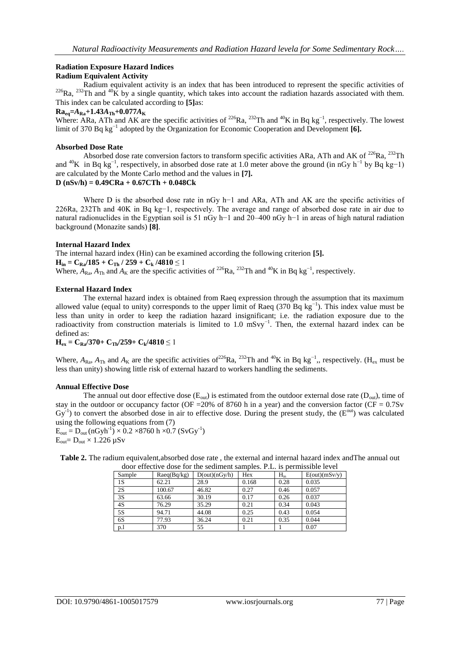# **Radiation Exposure Hazard Indices**

# **Radium Equivalent Activity**

Radium equivalent activity is an index that has been introduced to represent the specific activities of  $226$ Ra,  $232$ Th and  $40$ K by a single quantity, which takes into account the radiation hazards associated with them. This index can be calculated according to **[5]**as:

#### $Ra_{eq} = A_{Ra} + 1.43A_{Th} + 0.077A_{K}$

Where: ARa, ATh and AK are the specific activities of <sup>226</sup>Ra, <sup>232</sup>Th and <sup>40</sup>K in Bq kg<sup>-1</sup>, respectively. The lowest limit of 370 Bq kg<sup>-1</sup> adopted by the Organization for Economic Cooperation and Development [**6**].

#### **Absorbed Dose Rate**

Absorbed dose rate conversion factors to transform specific activities ARa, ATh and AK of <sup>226</sup>Ra, <sup>232</sup>Th and <sup>40</sup>K in Bq kg<sup>-1</sup>, respectively, in absorbed dose rate at 1.0 meter above the ground (in nGy h<sup>-1</sup> by Bq kg-1) are calculated by the Monte Carlo method and the values in **[7].** 

# **D (nSv/h) = 0.49CRa + 0.67CTh + 0.048Ck**

Where D is the absorbed dose rate in nGy h−1 and ARa, ATh and AK are the specific activities of 226Ra, 232Th and 40K in Bq kg−1, respectively. The average and range of absorbed dose rate in air due to natural radionuclides in the Egyptian soil is 51 nGy h−1 and 20–400 nGy h−1 in areas of high natural radiation background (Monazite sands) **[8]**.

#### **Internal Hazard Index**

The internal hazard index (Hin) can be examined according the following criterion **[5].**  $H_{in} = C_{Ra}/185 + C_{Th}/259 + C_{k}/4810 \le 1$ Where,  $\overline{A}_{\text{Ra}}$ ,  $A_{\text{Th}}$  and  $A_{\text{K}}$  are the specific activities of <sup>226</sup>Ra, <sup>232</sup>Th and <sup>40</sup>K in Bq kg<sup>-1</sup>, respectively.

#### **External Hazard Index**

The external hazard index is obtained from Raeq expression through the assumption that its maximum allowed value (equal to unity) corresponds to the upper limit of Raeq (370 Bq kg<sup>-1</sup>). This index value must be less than unity in order to keep the radiation hazard insignificant; i.e. the radiation exposure due to the radioactivity from construction materials is limited to 1.0 mSvy<sup>-1</sup>. Then, the external hazard index can be defined as:

 $H_{ex} = C_{Ra}/370 + C_{Th}/259 + C_{k}/4810 \le 1$ 

Where,  $A_{\text{Ra}}$ ,  $A_{\text{Th}}$  and  $A_{\text{K}}$  are the specific activities of<sup>226</sup>Ra, <sup>232</sup>Th and <sup>40</sup>K in Bq kg<sup>-1</sup>,, respectively. (H<sub>ex</sub> must be less than unity) showing little risk of external hazard to workers handling the sediments.

#### **Annual Effective Dose**

The annual out door effective dose  $(E_{out})$  is estimated from the outdoor external dose rate  $(D_{out})$ , time of stay in the outdoor or occupancy factor (OF = 20% of 8760 h in a year) and the conversion factor (CF =  $0.7$ Sv  $Gy^{-1}$ ) to convert the absorbed dose in air to effective dose. During the present study, the ( $E^{out}$ ) was calculated using the following equations from (7)

 $E_{\text{out}} = D_{\text{out}} (\text{nGyh}^{-1}) \times 0.2 \times 8760 \text{ h} \times 0.7 \text{ (SvGy}^{-1})$  $E_{\text{out}} = D_{\text{out}} \times 1.226 \text{ }\mu\text{Sv}$ 

**Table 2.** The radium equivalent,absorbed dose rate , the external and internal hazard index andThe annual out door effective dose for the sediment samples. P.L. is permissible level

| GOOI CHECH VC GOSC TOT THE SCUITHEIR SUITHDICS. T.L. IS DETIMSSION TEVET |             |               |       |          |               |  |  |  |  |  |
|--------------------------------------------------------------------------|-------------|---------------|-------|----------|---------------|--|--|--|--|--|
| Sample                                                                   | Raeq(Bq/kg) | D(out)(nGy/h) | Hex   | $H_{in}$ | E(out)(mSv/y) |  |  |  |  |  |
| 1S                                                                       | 62.21       | 28.9          | 0.168 | 0.28     | 0.035         |  |  |  |  |  |
| 2S                                                                       | 100.67      | 46.82         | 0.27  | 0.46     | 0.057         |  |  |  |  |  |
| 3S                                                                       | 63.66       | 30.19         | 0.17  | 0.26     | 0.037         |  |  |  |  |  |
| 4S                                                                       | 76.29       | 35.29         | 0.21  | 0.34     | 0.043         |  |  |  |  |  |
| 5S                                                                       | 94.71       | 44.08         | 0.25  | 0.43     | 0.054         |  |  |  |  |  |
| 6S                                                                       | 77.93       | 36.24         | 0.21  | 0.35     | 0.044         |  |  |  |  |  |
| p <sub>1</sub>                                                           | 370         | 55            |       |          | 0.07          |  |  |  |  |  |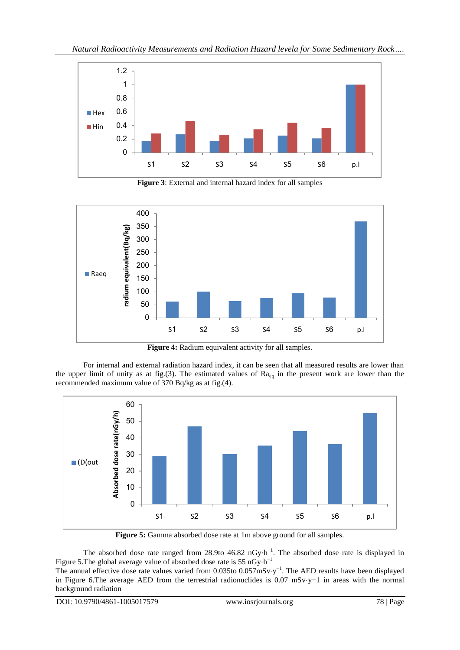

**Figure 3**: External and internal hazard index for all samples



**Figure 4:** Radium equivalent activity for all samples.

For internal and external radiation hazard index, it can be seen that all measured results are lower than the upper limit of unity as at fig.(3). The estimated values of  $Ra_{eq}$  in the present work are lower than the recommended maximum value of 370 Bq/kg as at fig.(4).



**Figure 5:** Gamma absorbed dose rate at 1m above ground for all samples.

The absorbed dose rate ranged from 28.9to 46.82 nGy⋅h<sup>-1</sup>. The absorbed dose rate is displayed in Figure 5. The global average value of absorbed dose rate is 55 nGy⋅h<sup>-1</sup>

The annual effective dose rate values varied from  $0.035$  to  $0.057$ mSv⋅y<sup>-1</sup>. The AED results have been displayed in Figure 6.The average AED from the terrestrial radionuclides is 0.07 mSv⋅y−1 in areas with the normal background radiation